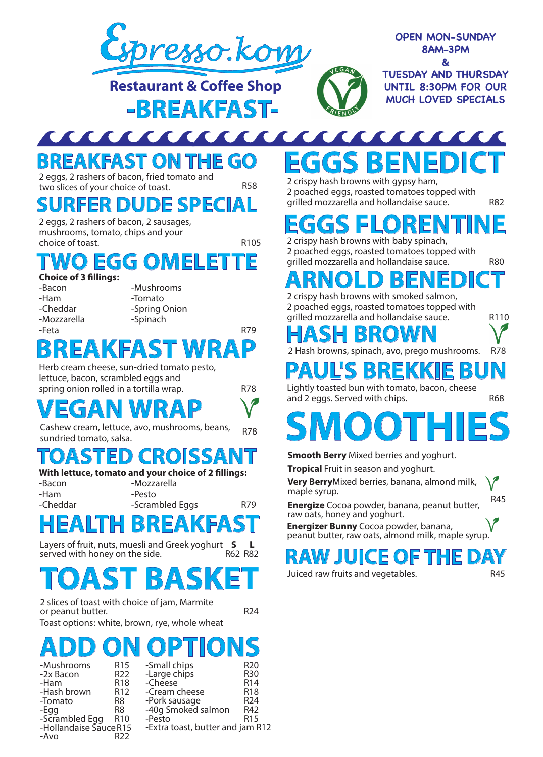

**Restaurant & Coffee Shop -BREAKFAST-**



**TUESDAY AND THURSDAY UNTIL 8:30PM FOR OUR MUCH LOVED SPECIALS**

### <u> TENNIS ANNI PARTIE DE L'ANNI PARTIE DE L'ANNI PARTIE DE L'ANNI PARTIE DE L'ANNI PARTIE DE L'ANNI PARTIE DE L'A</u>  $\sqrt{2}$ **BREAKFAST ON THE GO**

2 eggs, 2 rashers of bacon, fried tomato and two slices of your choice of toast. R58

R105

### **SURFER DUDE SPECIAL**

2 eggs, 2 rashers of bacon, 2 sausages, mushrooms, tomato, chips and your choice of toast.

### WO EGG OME

**Choice of 3 fillings:** 

-Bacon -Ham -Cheddar -Mozzarella -Mushrooms -Tomato -Spring Onion -Spinach

#### -Feta R79 **BREAKFAST WRAP**

Herb cream cheese, sun-dried tomato pesto, lettuce, bacon, scrambled eggs and spring onion rolled in a tortilla wrap. The R78

# **VEGAN WRAP**  $V$ <sup>and 2 eggs. Served with chips.</sup>

Cashew cream, lettuce, avo, mushrooms, beans, Casnew cream, lettuce, avo, mushrooms, beans, qrang<br>sundried tomato, salsa.

### **TOASTED CRO**

### **With lettuce, tomato and your choice of 2 fillings:**

- -Bacon -Ham -Cheddar
- -Mozzarella -Pesto

-Scrambled Eggs

# **HEALTH BREAKFAST**

R82 R62 Layers of fruit, nuts, muesli and Greek yoghurt served with honey on the side. **S L**

# **TOAST BASKET**

2 slices of toast with choice of jam, Marmite or peanut butter.

R79

Toast options: white, brown, rye, whole wheat

# **OPTIONS**

| -Mushrooms             | R <sub>15</sub> | -Small chips                     | R <sub>20</sub> |
|------------------------|-----------------|----------------------------------|-----------------|
| -2x Bacon              | R <sub>22</sub> | -Large chips                     | R30             |
| -Ham                   | R <sub>18</sub> | -Cheese                          | R <sub>14</sub> |
| -Hash brown            | R <sub>12</sub> | -Cream cheese                    | R <sub>18</sub> |
| -Tomato                | R8              | -Pork sausage                    | R <sub>24</sub> |
| -Egg                   | R8              | -40q Smoked salmon               | R42             |
| -Scrambled Egg         | R <sub>10</sub> | -Pesto                           | R <sub>15</sub> |
| -Hollandaise Sauce R15 |                 | -Extra toast, butter and jam R12 |                 |
| -Avo                   |                 |                                  |                 |

### **CEE**  $\Gamma$  $\sqrt{2}$ **EGGS BENEDICT**

EGAN

2 poached eggs, roasted tomatoes topped with grilled mozzarella and hollandaise sauce. R82

# **EGGSFLORENTINE**

2 poached eggs, roasted tomatoes topped with grilled mozzarella and hollandaise sauce. R80

# **ARNOLD BENEDICT**

2 crispy hash browns with smoked salmon, 2 poached eggs, roasted tomatoes topped with grilled mozzarella and hollandaise sauce.

### **HASH BROWN**

2 Hash browns, spinach, avo, prego mushrooms. R78

# **PAUL'S BREKKIE BUN**

Lightly toasted bun with tomato, bacon, cheese

# **SMOOTHIES**

**Smooth Berry** Mixed berries and yoghurt.

**Tropical** Fruit in season and yoghurt.

**Very Berry**Mixed berries, banana, almond milk, maple syrup.

R45 **Energize** Cocoa powder, banana, peanut butter, raw oats, honey and yoghurt.

**Energizer Bunny** Cocoa powder, banana, peanut butter, raw oats, almond milk, maple syrup.

### **RAW JUICE OF THE DAY**

Juiced raw fruits and vegetables.

R45

 $\overline{P}$ 

R110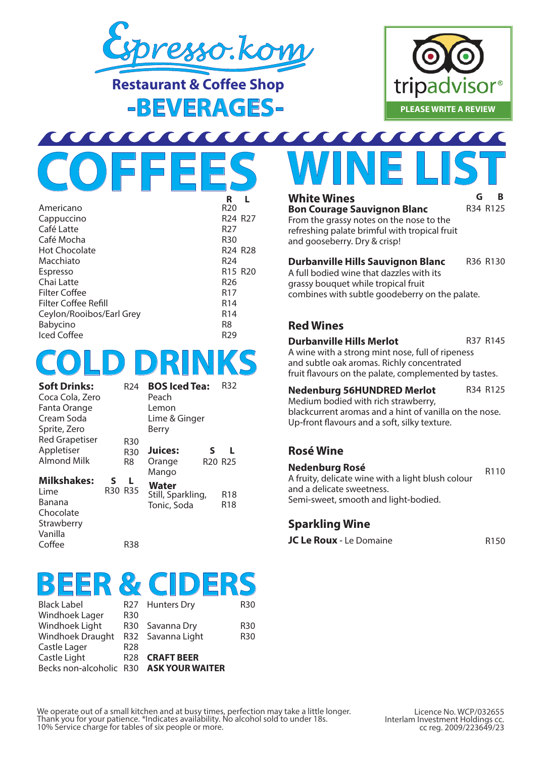

**Restaurant & Coffee Shop -BEVERAGES-**



### <u> AAAAAAAA</u> **COFFEES**

|                          | R                               |  |
|--------------------------|---------------------------------|--|
| Americano                | R <sub>20</sub>                 |  |
| Cappuccino               | R <sub>24</sub> R <sub>27</sub> |  |
| Café Latte               | R27                             |  |
| Café Mocha               | <b>R30</b>                      |  |
| <b>Hot Chocolate</b>     | R <sub>24</sub> R <sub>28</sub> |  |
| Macchiato                | R <sub>24</sub>                 |  |
| Espresso                 | R <sub>15</sub> R <sub>20</sub> |  |
| Chai Latte               | R <sub>26</sub>                 |  |
| Filter Coffee            | R <sub>17</sub>                 |  |
| Filter Coffee Refill     | R <sub>14</sub>                 |  |
| Ceylon/Rooibos/Earl Grey | R <sub>14</sub>                 |  |
| Babycino                 | R8                              |  |
| <b>Iced Coffee</b>       | R29                             |  |
|                          |                                 |  |

# **COLD DRINKS**

| <b>Soft Drinks:</b>   |     | R <sub>24</sub> | <b>BOS Iced Tea:</b> |                                 | R32             |
|-----------------------|-----|-----------------|----------------------|---------------------------------|-----------------|
| Coca Cola, Zero       |     |                 | Peach                |                                 |                 |
| Fanta Orange          |     |                 | Lemon                |                                 |                 |
| Cream Soda            |     |                 | Lime & Ginger        |                                 |                 |
| Sprite, Zero          |     |                 | Berry                |                                 |                 |
| <b>Red Grapetiser</b> |     | <b>R30</b>      |                      |                                 |                 |
| Appletiser            |     | <b>R30</b>      | Juices:              | S                               | L.              |
| <b>Almond Milk</b>    |     | R <sub>8</sub>  | Orange               | R <sub>20</sub> R <sub>25</sub> |                 |
|                       |     |                 | Mango                |                                 |                 |
| <b>Milkshakes:</b>    | S   | L               | Water                |                                 |                 |
| Lime                  | R30 | <b>R35</b>      | Still, Sparkling,    |                                 | R <sub>18</sub> |
| Banana                |     |                 | Tonic, Soda          |                                 | R <sub>18</sub> |
| Chocolate             |     |                 |                      |                                 |                 |
| Strawberry            |     |                 |                      |                                 |                 |
| Vanilla               |     |                 |                      |                                 |                 |

R38

#### **BEER & CIDERS** R27 R30

| <b>Black Label</b>      | R2             |
|-------------------------|----------------|
| Windhoek Lager          | R3             |
| Windhoek Light          | R3             |
| <b>Windhoek Draught</b> | R3             |
| Castle Lager            | R2             |
| Castle Light            | R2             |
| Becks non-alcoholic     | R <sub>3</sub> |
|                         |                |

Coffee

|   | 7 Hunters Dry   |
|---|-----------------|
| 0 |                 |
|   | 0 Savanna Dry   |
|   | 2 Savanna Light |
| 8 |                 |
|   |                 |

R30 R30

R28 **CRAFT BEER** R30 **ASK YOUR WAITER**

## **WINE LIST White Wines G**

CCC

R34 R125 **B**

**Bon Courage Sauvignon Blanc** From the grassy notes on the nose to the refreshing palate brimful with tropical fruit and gooseberry. Dry & crisp!

**Durbanville Hills Sauvignon Blanc** R36 R130

A full bodied wine that dazzles with its grassy bouquet while tropical fruit

combines with subtle goodeberry on the palate.

### **Red Wines**

#### **Durbanville Hills Merlot**

R37 R145

A wine with a strong mint nose, full of ripeness and subtle oak aromas. Richly concentrated fruit flavours on the palate, complemented by tastes.

### **Nedenburg 56HUNDRED Merlot** R34 R125

Medium bodied with rich strawberry, blackcurrent aromas and a hint of vanilla on the nose. Up-front flavours and a soft, silky texture.

### **Rosé Wine**

R110 **Nedenburg Rosé** A fruity, delicate wine with a light blush colour and a delicate sweetness. Semi-sweet, smooth and light-bodied.

### **Sparkling Wine**

**JC Le Roux** - Le Domaine **R150** 

We operate out of a small kitchen and at busy times, perfection may take a little longer.<br>Thank you for your patience. \*Indicates availability. No alcohol sold to under 18s. 10% Service charge for tables of six people or more.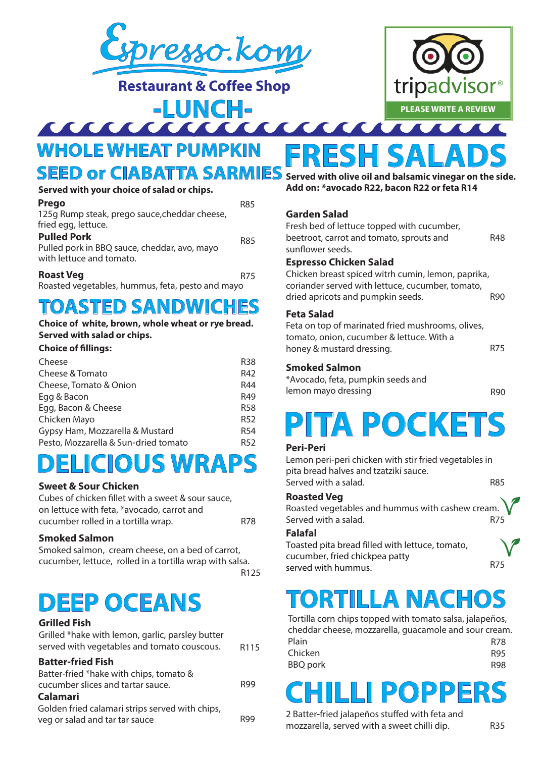

**Restaurant & Coffee Shop**



# **-LUNCH-WHOLE WHEAT PUMPKIN**

### **SEED or CIABATTA SARMIES**

| Served with your choice of salad or chips.                                                     |     |
|------------------------------------------------------------------------------------------------|-----|
| Prego<br>125g Rump steak, prego sauce, cheddar cheese,<br>fried egg, lettuce.                  | R85 |
| <b>Pulled Pork</b><br>Pulled pork in BBQ sauce, cheddar, avo, mayo<br>with lettuce and tomato. | R85 |
| <b>Roast Veg</b>                                                                               | R75 |

Roasted vegetables, hummus, feta, pesto and mayo

### **TOASTED SANDWICHES**

### **Choice of white, brown, whole wheat or rye bread. Served with salad or chips.**

#### **Choice of fillings:**

| <b>R38</b>      |
|-----------------|
| R42             |
| R44             |
| R49             |
| <b>R58</b>      |
| <b>R52</b>      |
| R <sub>54</sub> |
| R <sub>52</sub> |
|                 |

### **DELICIOUS WRAPS**

### **Sweet & Sour Chicken**

Cubes of chicken fillet with a sweet & sour sauce, on lettuce with feta, \*avocado, carrot and cucumber rolled in a tortilla wrap. The R78

### **Smoked Salmon**

Smoked salmon, cream cheese, on a bed of carrot, cucumber, lettuce, rolled in a tortilla wrap with salsa.

R125

### **DEEP OCEANS**

### **Grilled Fish**

| Grilled *hake with lemon, garlic, parsley butter<br>served with vegetables and tomato couscous. | R <sub>115</sub> |
|-------------------------------------------------------------------------------------------------|------------------|
| <b>Batter-fried Fish</b>                                                                        |                  |
| Batter-fried *hake with chips, tomato &                                                         |                  |
| cucumber slices and tartar sauce.                                                               | R99              |
| <b>Calamari</b>                                                                                 |                  |
| Golden fried calamari strips served with chips,                                                 |                  |
| veg or salad and tar tar sauce                                                                  |                  |
|                                                                                                 |                  |

**FRESH SALADS Served with olive oil and balsamic vinegar on the side. Add on: \*avocado R22, bacon R22 or feta R14** 

### **Garden Salad**

Fresh bed of lettuce topped with cucumber, beetroot, carrot and tomato, sprouts and sunflower seeds. R48

#### **Espresso Chicken Salad**

Chicken breast spiced witrh cumin, lemon, paprika, coriander served with lettuce, cucumber, tomato, dried apricots and pumpkin seeds. R90

#### **Feta Salad**

R75 Feta on top of marinated fried mushrooms, olives, tomato, onion, cucumber & lettuce. With a honey & mustard dressing.

#### **Smoked Salmon**

\*Avocado, feta, pumpkin seeds and lemon mayo dressing

R90

# **PITA POCKETS**

#### **Peri-Peri**

Lemon peri-peri chicken with stir fried vegetables in pita bread halves and tzatziki sauce. Served with a salad. R85

#### **Roasted Veg**

Roasted vegetables and hummus with cashew cream. Served with a salad. R75

### **Falafal**

Toasted pita bread filled with lettuce, tomato, cucumber, fried chickpea patty served with hummus.

# **TORTILLA NACHOS**

Tortilla corn chips topped with tomato salsa, jalapeños, cheddar cheese, mozzarella, guacamole and sour cream. Plain Chicken BBQ pork R78 R95 R98

# R99 **CHILLI POPPERS**

2 Batter-fried jalapeños stuffed with feta and mozzarella, served with a sweet chilli dip. R35